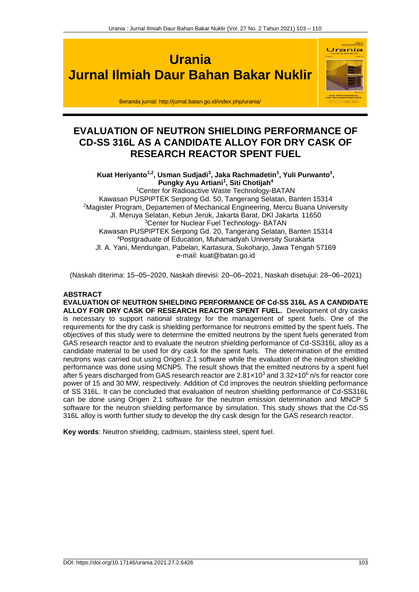

# **EVALUATION OF NEUTRON SHIELDING PERFORMANCE OF CD-SS 316L AS A CANDIDATE ALLOY FOR DRY CASK OF RESEARCH REACTOR SPENT FUEL**

Kuat Heriyanto<sup>1,2</sup>, Usman Sudjadi<sup>3</sup>, Jaka Rachmadetin<sup>1</sup>, Yuli Purwanto<sup>1</sup>, **Pungky Ayu Artiani<sup>1</sup> , Siti Chotijah<sup>4</sup>** <sup>1</sup>Center for Radioactive Waste Technology-BATAN Kawasan PUSPIPTEK Serpong Gd. 50, Tangerang Selatan, Banten 15314 <sup>2</sup>Magister Program, Departemen of Mechanical Engineering, Mercu Buana University Jl. Meruya Selatan, Kebun Jeruk, Jakarta Barat, DKI Jakarta 11650 <sup>3</sup>Center for Nuclear Fuel Technology- BATAN Kawasan PUSPIPTEK Serpong Gd. 20, Tangerang Selatan, Banten 15314 <sup>4</sup>Postgraduate of Education, Muhamadyah University Surakarta Jl. A. Yani, Mendungan, Pabelan, Kartasura, Sukoharjo, Jawa Tengah 57169 e-mail[: kuat@batan.go.id](mailto:kuat@batan.go.id)

(Naskah diterima: 15–05–2020, Naskah direvisi: 20–06–2021, Naskah disetujui: 28–06–2021)

# **ABSTRACT**

**EVALUATION OF NEUTRON SHIELDING PERFORMANCE OF Cd-SS 316L AS A CANDIDATE ALLOY FOR DRY CASK OF RESEARCH REACTOR SPENT FUEL.** Development of dry casks is necessary to support national strategy for the management of spent fuels. One of the requirements for the dry cask is shielding performance for neutrons emitted by the spent fuels. The objectives of this study were to determine the emitted neutrons by the spent fuels generated from GAS research reactor and to evaluate the neutron shielding performance of Cd-SS316L alloy as a candidate material to be used for dry cask for the spent fuels. The determination of the emitted neutrons was carried out using Origen 2.1 software while the evaluation of the neutron shielding performance was done using MCNP5. The result shows that the emitted neutrons by a spent fuel after 5 years discharged from GAS research reactor are  $2.81 \times 10^3$  and  $3.32 \times 10^6$  n/s for reactor core power of 15 and 30 MW, respectively. Addition of Cd improves the neutron shielding performance of SS 316L. It can be concluded that evaluation of neutron shielding performance of Cd-SS316L can be done using Origen 2.1 software for the neutron emission determination and MNCP 5 software for the neutron shielding performance by simulation. This study shows that the Cd-SS 316L alloy is worth further study to develop the dry cask design for the GAS research reactor.

**Key words**: Neutron shielding, cadmium, stainless steel, spent fuel.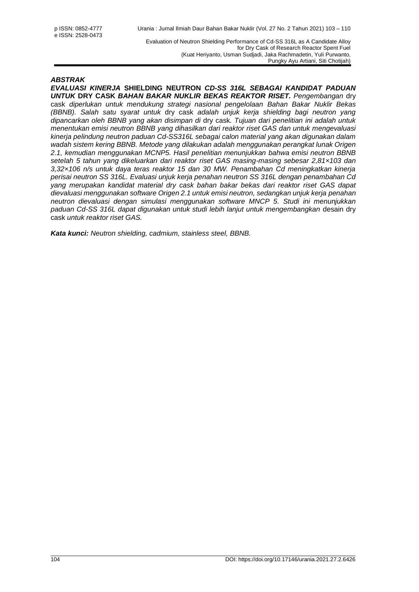### *ABSTRAK*

*EVALUASI KINERJA* **SHIELDING NEUTRON** *CD-SS 316L SEBAGAI KANDIDAT PADUAN UNTUK* **DRY CASK** *BAHAN BAKAR NUKLIR BEKAS REAKTOR RISET. Pengembangan* dry cask *diperlukan untuk mendukung strategi nasional pengelolaan Bahan Bakar Nuklir Bekas (BBNB). Salah satu syarat untuk* dry cask *adalah unjuk kerja shielding bagi neutron yang dipancarkan oleh BBNB yang akan disimpan di* dry cask*. Tujuan dari penelitian ini adalah untuk menentukan emisi neutron BBNB yang dihasilkan dari reaktor riset GAS dan untuk mengevaluasi kinerja pelindung neutron paduan Cd-SS316L sebagai calon material yang akan digunakan dalam wadah sistem kering BBNB. Metode yang dilakukan adalah menggunakan perangkat lunak Origen 2.1, kemudian menggunakan MCNP5. Hasil penelitian menunjukkan bahwa emisi neutron BBNB setelah 5 tahun yang dikeluarkan dari reaktor riset GAS masing-masing sebesar 2,81×103 dan 3,32×106 n/s untuk daya teras reaktor 15 dan 30 MW. Penambahan Cd meningkatkan kinerja perisai neutron SS 316L. Evaluasi unjuk kerja penahan neutron SS 316L dengan penambahan Cd yang merupakan kandidat material dry cask bahan bakar bekas dari reaktor riset GAS dapat dievaluasi menggunakan software Origen 2.1 untuk emisi neutron, sedangkan unjuk kerja penahan neutron dievaluasi dengan simulasi menggunakan software MNCP 5. Studi ini menunjukkan paduan Cd-SS 316L dapat digunakan untuk studi lebih lanjut untuk mengembangkan* desain dry cask *untuk reaktor riset GAS.*

*Kata kunci: Neutron shielding, cadmium, stainless steel, BBNB.*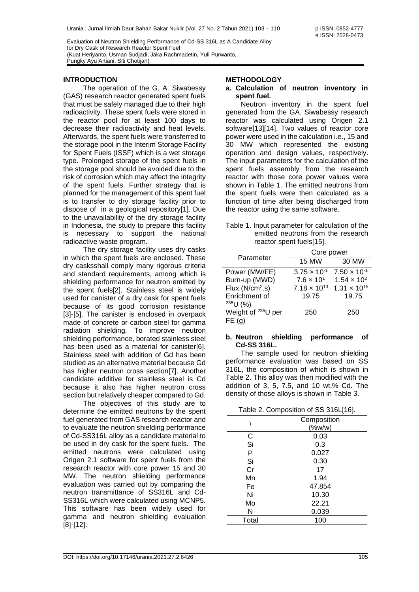#### **INTRODUCTION**

The operation of the G. A. Siwabessy (GAS) research reactor generated spent fuels that must be safely managed due to their high radioactivity. These spent fuels were stored in the reactor pool for at least 100 days to decrease their radioactivity and heat levels. Afterwards, the spent fuels were transferred to the storage pool in the Interim Storage Facility for Spent Fuels (ISSF) which is a wet storage type. Prolonged storage of the spent fuels in the storage pool should be avoided due to the risk of corrosion which may affect the integrity of the spent fuels. Further strategy that is planned for the management of this spent fuel is to transfer to dry storage facility prior to dispose of in a geological repository[1]. Due to the unavailability of the dry storage facility in Indonesia, the study to prepare this facility is necessary to support the national radioactive waste program.

The dry storage facility uses dry casks in which the spent fuels are enclosed. These dry casksshall comply many rigorous criteria and standard requirements, among which is shielding performance for neutron emitted by the spent fuels[2]. Stainless steel is widely used for canister of a dry cask for spent fuels because of its good corrosion resistance [3]-[5]. The canister is enclosed in overpack made of concrete or carbon steel for gamma radiation shielding. To improve neutron shielding performance, borated stainless steel has been used as a material for canister[6]. Stainless steel with addition of Gd has been studied as an alternative material because Gd has higher neutron cross section[7]. Another candidate additive for stainless steel is Cd because it also has higher neutron cross section but relatively cheaper compared to Gd.

The objectives of this study are to determine the emitted neutrons by the spent fuel generated from GAS research reactor and to evaluate the neutron shielding performance of Cd-SS316L alloy as a candidate material to be used in dry cask for the spent fuels. The emitted neutrons were calculated using Origen 2.1 software for spent fuels from the research reactor with core power 15 and 30 MW. The neutron shielding performance evaluation was carried out by comparing the neutron transmittance of SS316L and Cd-SS316L which were calculated using MCNP5. This software has been widely used for gamma and neutron shielding evaluation [8]-[12].

#### **METHODOLOGY**

#### **a. Calculation of neutron inventory in spent fuel.**

Neutron inventory in the spent fuel generated from the GA. Siwabessy research reactor was calculated using Origen 2.1 software[13][14]. Two values of reactor core power were used in the calculation i.e., 15 and 30 MW which represented the existing operation and design values, respectively. The input parameters for the calculation of the spent fuels assembly from the research reactor with those core power values were shown in [Table 1.](#page-2-0) The emitted neutrons from the spent fuels were then calculated as a function of time after being discharged from the reactor using the same software.

<span id="page-2-0"></span>

|  | Table 1. Input parameter for calculation of the |  |  |
|--|-------------------------------------------------|--|--|
|  | emitted neutrons from the research              |  |  |
|  | reactor spent fuels[15].                        |  |  |

|                                | Core power            |                       |  |  |
|--------------------------------|-----------------------|-----------------------|--|--|
| Parameter                      | <b>15 MW</b>          | 30 MW                 |  |  |
| Power (MW/FE)                  | $3.75 \times 10^{-1}$ | $7.50 \times 10^{-1}$ |  |  |
| Burn-up (MWD)                  | $7.6 \times 10^{1}$   | $1.54 \times 10^{2}$  |  |  |
| Flux $(N/cm2.s)$               | $7.18 \times 10^{13}$ | $1.31 \times 10^{15}$ |  |  |
| Enrichment of                  | 19.75                 | 19.75                 |  |  |
| 235U(%)                        |                       |                       |  |  |
| Weight of <sup>235</sup> U per | 250                   | 250                   |  |  |
| FE (                           |                       |                       |  |  |

#### **b. Neutron shielding performance of Cd-SS 316L.**

The sample used for neutron shielding performance evaluation was based on SS 316L, the composition of which is shown in [Table 2.](#page-2-1) This alloy was then modified with the addition of 3, 5, 7.5, and 10 wt.% Cd. The density of those alloys is shown in [Table](#page-3-0) *3*.

| Table 2. Composition of SS 316L[16]. |  |  |  |  |
|--------------------------------------|--|--|--|--|
|--------------------------------------|--|--|--|--|

<span id="page-2-1"></span>

|       | ٠           |  |  |
|-------|-------------|--|--|
|       | Composition |  |  |
|       | (%          |  |  |
| С     | 0.03        |  |  |
| Si    | 0.3         |  |  |
| P     | 0.027       |  |  |
| Si    | 0.30        |  |  |
| Cr    | 17          |  |  |
| Mn    | 1.94        |  |  |
| Fe    | 47.854      |  |  |
| Ni    | 10.30       |  |  |
| Mo    | 22.21       |  |  |
| N     | 0.039       |  |  |
| Total | 100         |  |  |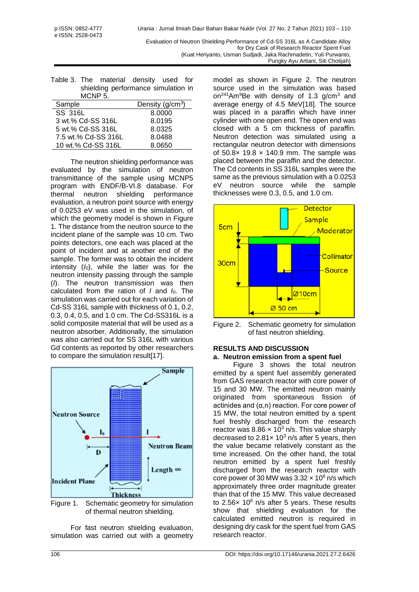<span id="page-3-0"></span>

|         | Table 3. The material density used for |  |  |
|---------|----------------------------------------|--|--|
|         | shielding performance simulation in    |  |  |
| MCNP 5. |                                        |  |  |
|         |                                        |  |  |

| Density $(g/cm3)$<br>Sample   |  |
|-------------------------------|--|
| SS 316L<br>8.0000             |  |
| 3 wt.% Cd-SS 316L<br>8.0195   |  |
| 5 wt.% Cd-SS 316L<br>8.0325   |  |
| 7.5 wt.% Cd-SS 316L<br>8.0488 |  |
| 10 wt.% Cd-SS 316L<br>8.0650  |  |

The neutron shielding performance was evaluated by the simulation of neutron transmittance of the sample using MCNP5 program with ENDF/B-VI.8 database. For thermal neutron shielding performance evaluation, a neutron point source with energy of 0.0253 eV was used in the simulation, of which the geometry model is shown in [Figure](#page-3-1)  [1.](#page-3-1) The distance from the neutron source to the incident plane of the sample was 10 cm. Two points detectors, one each was placed at the point of incident and at another end of the sample. The former was to obtain the incident intensity (*I0*), while the latter was for the neutron intensity passing through the sample (*I*). The neutron transmission was then calculated from the ration of *I* and *I0*. The simulation was carried out for each variation of Cd-SS 316L sample with thickness of 0.1, 0.2, 0.3, 0.4, 0.5, and 1.0 cm. The Cd-SS316L is a solid composite material that will be used as a neutron absorber. Additionally, the simulation was also carried out for SS 316L with various Gd contents as reported by other researchers to compare the simulation result[17].



<span id="page-3-1"></span>Figure 1. Schematic geometry for simulation of thermal neutron shielding.

For fast neutron shielding evaluation, simulation was carried out with a geometry model as shown in [Figure 2.](#page-3-2) The neutron source used in the simulation was based on<sup>241</sup>Am<sup>9</sup>Be with density of 1.3 g/cm<sup>3</sup> and average energy of 4.5 MeV[18]. The source was placed in a paraffin which have inner cylinder with one open end. The open end was closed with a 5 cm thickness of paraffin. Neutron detection was simulated using a rectangular neutron detector with dimensions of  $50.8x$  19.8  $\times$  140.9 mm. The sample was placed between the paraffin and the detector. The Cd contents in SS 316L samples were the same as the previous simulation with a 0.0253 eV neutron source while the sample thicknesses were 0.3, 0.5, and 1.0 cm.



<span id="page-3-2"></span>Figure 2. Schematic geometry for simulation of fast neutron shielding.

### **RESULTS AND DISCUSSION a. Neutron emission from a spent fuel**

[Figure 3](#page-4-0) shows the total neutron emitted by a spent fuel assembly generated from GAS research reactor with core power of 15 and 30 MW. The emitted neutron mainly originated from spontaneous fission of actinides and (α,n) reaction. For core power of 15 MW, the total neutron emitted by a spent fuel freshly discharged from the research reactor was  $8.86 \times 10^3$  n/s. This value sharply decreased to 2.81 $\times$  10<sup>3</sup> n/s after 5 years, then the value became relatively constant as the time increased. On the other hand, the total neutron emitted by a spent fuel freshly discharged from the research reactor with core power of 30 MW was  $3.32 \times 10^6$  n/s which approximately three order magnitude greater than that of the 15 MW. This value decreased to 2.56 $\times$  10 $^6$  n/s after 5 years. These results show that shielding evaluation for the calculated emitted neutron is required in designing dry cask for the spent fuel from GAS research reactor.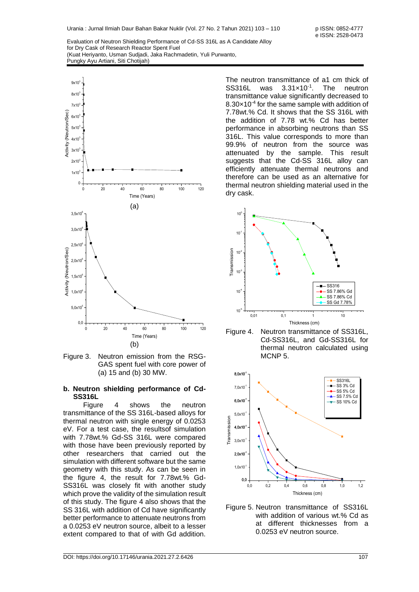

<span id="page-4-0"></span>Figure 3. Neutron emission from the RSG-GAS spent fuel with core power of (a) 15 and (b) 30 MW.

#### **b. Neutron shielding performance of Cd-SS316L**

Figure 4 shows the neutron transmittance of the SS 316L-based alloys for thermal neutron with single energy of 0.0253 eV. For a test case, the resultsof simulation with 7.78wt.% Gd-SS 316L were compared with those have been previously reported by other researchers that carried out the simulation with different software but the same geometry with this study. As can be seen in the figure 4, the result for 7.78wt.% Gd-SS316L was closely fit with another study which prove the validity of the simulation result of this study. The figure 4 also shows that the SS 316L with addition of Cd have significantly better performance to attenuate neutrons from a 0.0253 eV neutron source, albeit to a lesser extent compared to that of with Gd addition.

The neutron transmittance of a1 cm thick of SS316L was 3.31×10-1 . The neutron transmittance value significantly decreased to  $8.30\times10^{-4}$  for the same sample with addition of 7.78wt.% Cd. It shows that the SS 316L with the addition of 7.78 wt.% Cd has better performance in absorbing neutrons than SS 316L. This value corresponds to more than 99.9% of neutron from the source was attenuated by the sample. This result suggests that the Cd-SS 316L alloy can efficiently attenuate thermal neutrons and therefore can be used as an alternative for thermal neutron shielding material used in the dry cask.







Figure 5. Neutron transmittance of SS316L with addition of various wt.% Cd as at different thicknesses from a 0.0253 eV neutron source.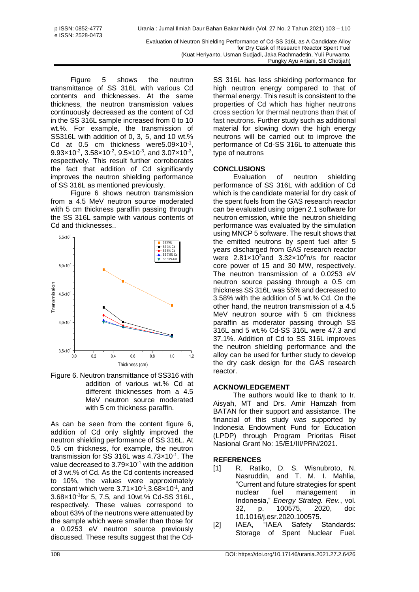Figure 5 shows the neutron transmittance of SS 316L with various Cd contents and thicknesses. At the same thickness, the neutron transmission values continuously decreased as the content of Cd in the SS 316L sample increased from 0 to 10 wt.%. For example, the transmission of SS316L with addition of 0, 3, 5, and 10 wt.% Cd at 0.5 cm thickness were  $5.09 \times 10^{-1}$ ,  $9.93 \times 10^{-2}$ ,  $3.58 \times 10^{-2}$ ,  $9.5 \times 10^{-3}$ , and  $3.07 \times 10^{-3}$ , respectively. This result further corroborates the fact that addition of Cd significantly improves the neutron shielding performance of SS 316L as mentioned previously.

Figure 6 shows neutron transmission from a 4.5 MeV neutron source moderated with 5 cm thickness paraffin passing through the SS 316L sample with various contents of Cd and thicknesses..



Figure 6. Neutron transmittance of SS316 with addition of various wt.% Cd at different thicknesses from a 4.5 MeV neutron source moderated with 5 cm thickness paraffin.

As can be seen from the content figure 6, addition of Cd only slightly improved the neutron shielding performance of SS 316L. At 0.5 cm thickness, for example, the neutron transmission for SS 316L was 4.73x10<sup>-1</sup>. The value decreased to  $3.79\times10^{-1}$  with the addition of 3 wt.% of Cd. As the Cd contents increased to 10%, the values were approximately constant which were  $3.71 \times 10^{-1}$ , 3.68 $\times 10^{-1}$ , and 3.68×10-1 for 5, 7.5, and 10wt.% Cd-SS 316L, respectively. These values correspond to about 63% of the neutrons were attenuated by the sample which were smaller than those for a 0.0253 eV neutron source previously discussed. These results suggest that the CdSS 316L has less shielding performance for high neutron energy compared to that of thermal energy. This result is consistent to the properties of Cd which has higher neutrons cross section for thermal neutrons than that of fast neutrons. Further study such as additional material for slowing down the high energy neutrons will be carried out to improve the performance of Cd-SS 316L to attenuate this type of neutrons

Pungky Ayu Artiani, Siti Chotijah)

# **CONCLUSIONS**

Evaluation of neutron shielding performance of SS 316L with addition of Cd which is the candidate material for dry cask of the spent fuels from the GAS research reactor can be evaluated using origen 2.1 software for neutron emission, while the neutron shielding performance was evaluated by the simulation using MNCP 5 software. The result shows that the emitted neutrons by spent fuel after 5 years discharged from GAS research reactor were  $2.81 \times 10^3$  and  $3.32 \times 10^6$  n/s for reactor core power of 15 and 30 MW, respectively. The neutron transmission of a 0.0253 eV neutron source passing through a 0.5 cm thickness SS 316L was 55% and decreased to 3.58% with the addition of 5 wt.% Cd. On the other hand, the neutron transmission of a 4.5 MeV neutron source with 5 cm thickness paraffin as moderator passing through SS 316L and 5 wt.% Cd-SS 316L were 47.3 and 37.1%. Addition of Cd to SS 316L improves the neutron shielding performance and the alloy can be used for further study to develop the dry cask design for the GAS research reactor.

# **ACKNOWLEDGEMENT**

The authors would like to thank to Ir. Aisyah, MT and Drs. Amir Hamzah from BATAN for their support and assistance. The financial of this study was supported by Indonesia Endowment Fund for Education (LPDP) through Program Prioritas Riset Nasional Grant No: 15/E1/III/PRN/2021.

# **REFERENCES**

- [1] R. Ratiko, D. S. Wisnubroto, N. Nasruddin, and T. M. I. Mahlia, "Current and future strategies for spent nuclear fuel management in Indonesia," *Energy Strateg. Rev.*, vol. 32, p. 100575, 2020, doi: 10.1016/j.esr.2020.100575.
- [2] IAEA, "IAEA Safety Standards: Storage of Spent Nuclear Fuel.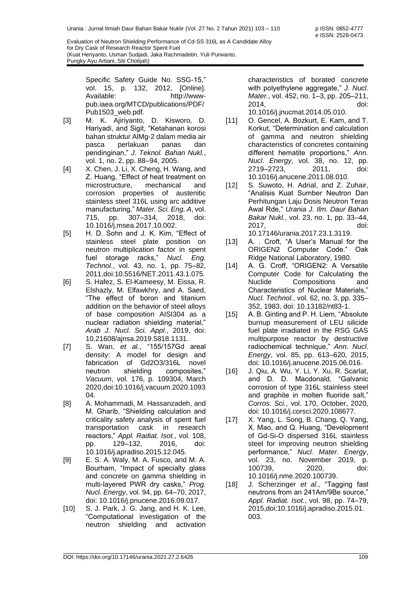Specific Safety Guide No. SSG-15," vol. 15, p. 132, 2012, [Online]. Available: http://wwwpub.iaea.org/MTCD/publications/PDF/ Pub1503\_web.pdf.

- [3] M. K. Ajiriyanto, D. Kisworo, D. Hariyadi, and Sigit, "Ketahanan korosi bahan struktur AlMg-2 dalam media air pasca perlakuan panas dan pendinginan," *J. Teknol. Bahan Nukl.*, vol. 1, no. 2, pp. 88–94, 2005.
- [4] X. Chen, J. Li, X. Cheng, H. Wang, and Z. Huang, "Effect of heat treatment on microstructure, mechanical and corrosion properties of austenitic stainless steel 316L using arc additive manufacturing," *Mater. Sci. Eng. A*, vol. 715, pp. 307–314, 2018, doi: 10.1016/j.msea.2017.10.002.
- [5] H. D. Sohn and J. K. Kim, "Effect of stainless steel plate position on neutron multiplication factor in spent fuel storage racks," *Nucl. Eng. Technol.*, vol. 43, no. 1, pp. 75–82, 2011,doi:10.5516/NET.2011.43.1.075.
- [6] S. Hafez, S. El-Kameesy, M. Eissa, R. Elshazly, M. Elfawkhry, and A. Saed, "The effect of boron and titanium addition on the behavior of steel alloys of base composition AISI304 as a nuclear radiation shielding material," *Arab J. Nucl. Sci. Appl.*, 2019, doi: 10.21608/ajnsa.2019.5818.1131.
- [7] S. Wan, *et al.*, "155/157Gd areal density: A model for design and fabrication of Gd2O3/316L novel neutron shielding composites," *Vacuum*, vol. 176, p. 109304, March 2020,doi:10.1016/j.vacuum.2020.1093 04.
- [8] A. Mohammadi, M. Hassanzadeh, and M. Gharib, "Shielding calculation and criticality safety analysis of spent fuel transportation cask in research reactors," *Appl. Radiat. Isot.*, vol. 108, pp. 129–132, 2016, doi: 10.1016/j.apradiso.2015.12.045.
- [9] E. S. A. Waly, M. A. Fusco, and M. A. Bourham, "Impact of specialty glass and concrete on gamma shielding in multi-layered PWR dry casks," *Prog. Nucl. Energy*, vol. 94, pp. 64–70, 2017, doi: 10.1016/j.pnucene.2016.09.017.
- [10] S. J. Park, J. G. Jang, and H. K. Lee, "Computational investigation of the neutron shielding and activation

characteristics of borated concrete with polyethylene aggregate," *J. Nucl. Mater.*, vol. 452, no. 1–3, pp. 205–211, 2014, doi: 10.1016/j.jnucmat.2014.05.010.

- [11] O. Gencel, A. Bozkurt, E. Kam, and T. Korkut, "Determination and calculation of gamma and neutron shielding characteristics of concretes containing different hematite proportions," *Ann. Nucl. Energy*, vol. 38, no. 12, pp. 2719–2723, 2011, doi: 10.1016/j.anucene.2011.08.010.
- [12] S. Suwoto, H. Adrial, and Z. Zuhair, "Analisis Kuat Sumber Neutron Dan Perhitungan Laju Dosis Neutron Teras Awal Rde," *Urania J. Ilm. Daur Bahan Bakar Nukl.*, vol. 23, no. 1, pp. 33–44, 2017, doi: 10.17146/urania.2017.23.1.3119.
- [13] A. . Croft, "A User's Manual for the ORIGEN2 Computer Code." Oak Ridge National Laboratory, 1980.
- [14] A. G. Croff, "ORIGEN2: A Versatile Computer Code for Calculating the Nuclide Compositions and Characteristics of Nuclear Materials," *Nucl. Technol.*, vol. 62, no. 3, pp. 335– 352, 1983, doi: 10.13182/nt83-1.
- [15] A. B. Ginting and P. H. Liem, "Absolute burnup measurement of LEU silicide fuel plate irradiated in the RSG GAS multipurpose reactor by destructive radiochemical technique," *Ann. Nucl. Energy*, vol. 85, pp. 613–620, 2015, doi: 10.1016/j.anucene.2015.06.016.
- [16] J. Qiu, A. Wu, Y. Li, Y. Xu, R. Scarlat, and D. D. Macdonald, "Galvanic corrosion of type 316L stainless steel and graphite in molten fluoride salt," *Corros. Sci.*, vol. 170, October, 2020, doi: 10.1016/j.corsci.2020.108677.
- [17] X. Yang, L. Song, B. Chang, Q. Yang, X. Mao, and Q. Huang, "Development of Gd-Si-O dispersed 316L stainless steel for improving neutron shielding performance," *Nucl. Mater. Energy*, vol. 23, no. November 2019, p. 100739, 2020, doi: 10.1016/j.nme.2020.100739.
- [18] J. Scherzinger *et al.*, "Tagging fast neutrons from an 241Am/9Be source," *Appl. Radiat. Isot.*, vol. 98, pp. 74–79, 2015,doi:10.1016/j.apradiso.2015.01. 003.